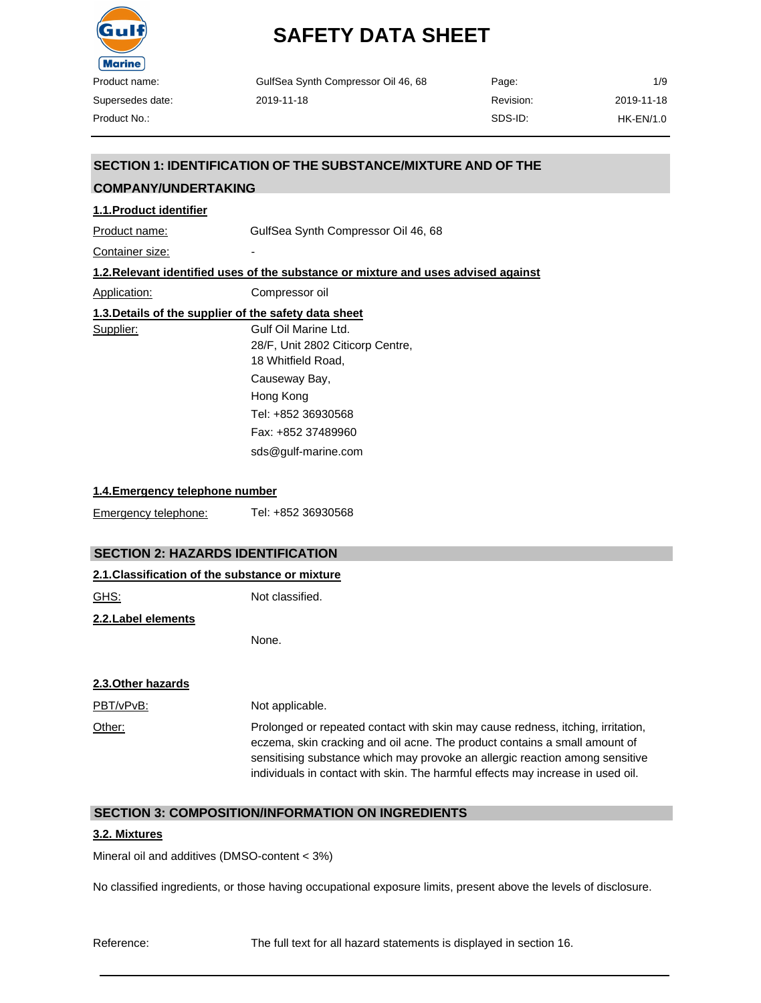

| GulfSea Synth Compressor Oil 46, 68 | Page:     | 1/9         |
|-------------------------------------|-----------|-------------|
| 2019-11-18                          | Revision: | 2019-11-18  |
|                                     | SDS-ID:   | $HK-EN/1.0$ |

# **SECTION 1: IDENTIFICATION OF THE SUBSTANCE/MIXTURE AND OF THE**

# **1.1.Product identifier** Product name: GulfSea Synth Compressor Oil 46, 68 Container size: **1.2.Relevant identified uses of the substance or mixture and uses advised against** Application: Compressor oil **1.3.Details of the supplier of the safety data sheet** Supplier: Gulf Oil Marine Ltd. 28/F, Unit 2802 Citicorp Centre, 18 Whitfield Road, Causeway Bay, Hong Kong **COMPANY/UNDERTAKING**

Tel: +852 36930568 Fax: +852 37489960 [sds@gulf-marine.com](mailto:sds@gulf-marine.com)

#### **1.4.Emergency telephone number**

Emergency telephone: Tel: +852 36930568

#### **SECTION 2: HAZARDS IDENTIFICATION**

| 2.1. Classification of the substance or mixture |                 |  |
|-------------------------------------------------|-----------------|--|
| GHS:                                            | Not classified. |  |
| 2.2. Label elements                             |                 |  |

None.

#### **2.3.Other hazards**

| PBT/vPvB: | Not applicable.                                                                                                                                                                                                                                                                                                                  |
|-----------|----------------------------------------------------------------------------------------------------------------------------------------------------------------------------------------------------------------------------------------------------------------------------------------------------------------------------------|
| Other:    | Prolonged or repeated contact with skin may cause redness, itching, irritation,<br>eczema, skin cracking and oil acne. The product contains a small amount of<br>sensitising substance which may provoke an allergic reaction among sensitive<br>individuals in contact with skin. The harmful effects may increase in used oil. |

### **SECTION 3: COMPOSITION/INFORMATION ON INGREDIENTS**

#### **3.2. Mixtures**

Mineral oil and additives (DMSO-content < 3%)

No classified ingredients, or those having occupational exposure limits, present above the levels of disclosure.

Reference: The full text for all hazard statements is displayed in section 16.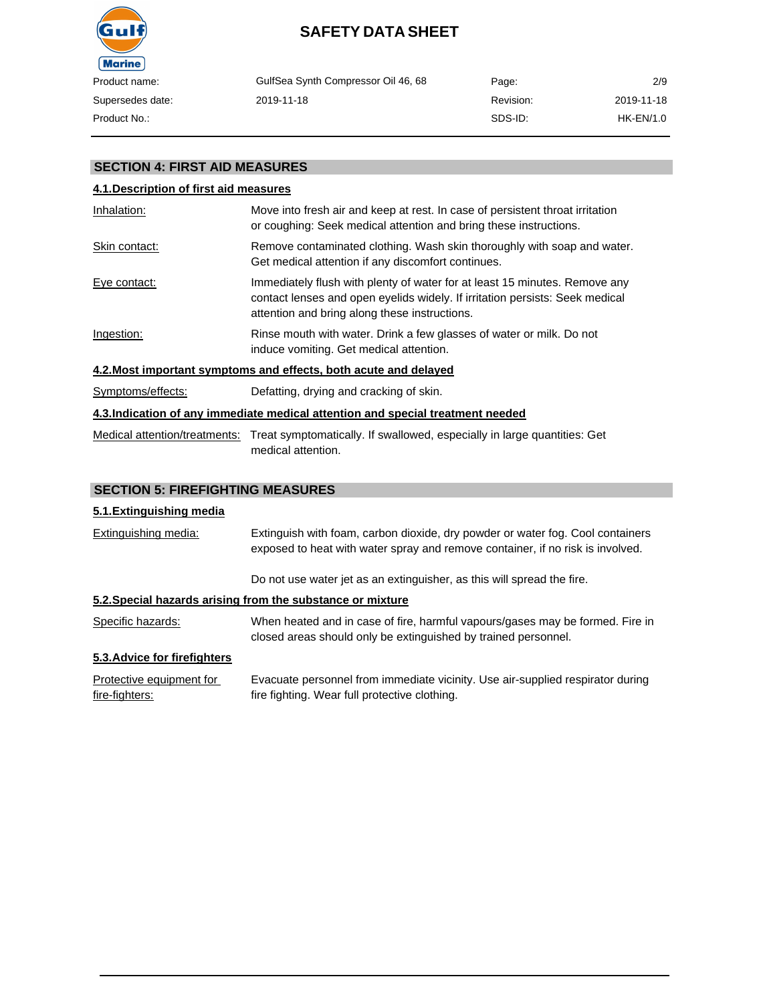

| GulfSea Synth Compressor Oil 46, 68 | Page:     | 2/9         |
|-------------------------------------|-----------|-------------|
| 2019-11-18                          | Revision: | 2019-11-18  |
|                                     | SDS-ID:   | $HK-EN/1.0$ |

# **SECTION 4: FIRST AID MEASURES**

### **4.1.Description of first aid measures**

| Inhalation:       | Move into fresh air and keep at rest. In case of persistent throat irritation<br>or coughing: Seek medical attention and bring these instructions.                                                          |
|-------------------|-------------------------------------------------------------------------------------------------------------------------------------------------------------------------------------------------------------|
| Skin contact:     | Remove contaminated clothing. Wash skin thoroughly with soap and water.<br>Get medical attention if any discomfort continues.                                                                               |
| Eye contact:      | Immediately flush with plenty of water for at least 15 minutes. Remove any<br>contact lenses and open eyelids widely. If irritation persists: Seek medical<br>attention and bring along these instructions. |
| Ingestion:        | Rinse mouth with water. Drink a few glasses of water or milk. Do not<br>induce vomiting. Get medical attention.                                                                                             |
|                   | 4.2. Most important symptoms and effects, both acute and delayed                                                                                                                                            |
| Symptoms/effects: | Defatting, drying and cracking of skin.                                                                                                                                                                     |
|                   | 4.3. Indication of any immediate medical attention and special treatment needed                                                                                                                             |
|                   | Medical attention/treatments: Treat symptomatically. If swallowed, especially in large quantities: Get<br>medical attention.                                                                                |

# **SECTION 5: FIREFIGHTING MEASURES**

#### **5.1.Extinguishing media**

| <b>Extinguishing media:</b>                | Extinguish with foam, carbon dioxide, dry powder or water fog. Cool containers<br>exposed to heat with water spray and remove container, if no risk is involved. |  |
|--------------------------------------------|------------------------------------------------------------------------------------------------------------------------------------------------------------------|--|
|                                            | Do not use water jet as an extinguisher, as this will spread the fire.                                                                                           |  |
|                                            | 5.2. Special hazards arising from the substance or mixture                                                                                                       |  |
| Specific hazards:                          | When heated and in case of fire, harmful vapours/gases may be formed. Fire in<br>closed areas should only be extinguished by trained personnel.                  |  |
| 5.3. Advice for firefighters               |                                                                                                                                                                  |  |
| Protective equipment for<br>fire-fighters: | Evacuate personnel from immediate vicinity. Use air-supplied respirator during<br>fire fighting. Wear full protective clothing.                                  |  |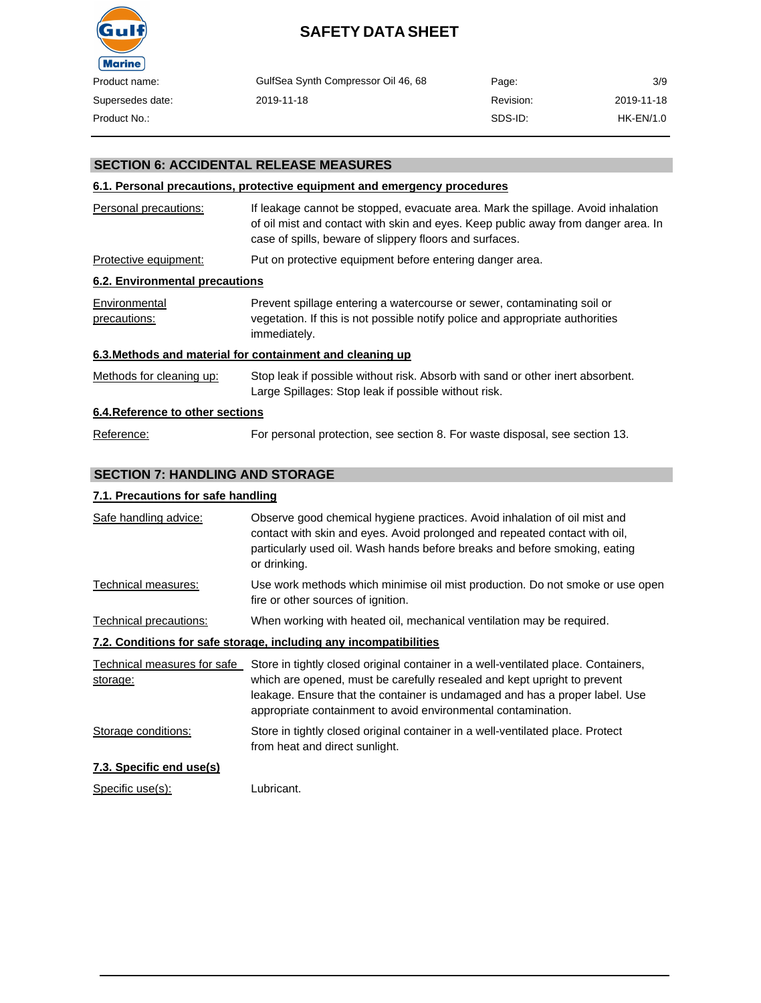

| Product name:    | GulfSea Synth Compressor Oil 46, 68 | Page:     | 3/9         |
|------------------|-------------------------------------|-----------|-------------|
| Supersedes date: | 2019-11-18                          | Revision: | 2019-11-18  |
| Product No.:     |                                     | SDS-ID:   | $HK-EN/1.0$ |
|                  |                                     |           |             |

### **SECTION 6: ACCIDENTAL RELEASE MEASURES**

#### **6.1. Personal precautions, protective equipment and emergency procedures**

| Personal precautions:            | If leakage cannot be stopped, evacuate area. Mark the spillage. Avoid inhalation<br>of oil mist and contact with skin and eyes. Keep public away from danger area. In<br>case of spills, beware of slippery floors and surfaces. |
|----------------------------------|----------------------------------------------------------------------------------------------------------------------------------------------------------------------------------------------------------------------------------|
| Protective equipment:            | Put on protective equipment before entering danger area.                                                                                                                                                                         |
| 6.2. Environmental precautions   |                                                                                                                                                                                                                                  |
| Environmental<br>precautions:    | Prevent spillage entering a watercourse or sewer, contaminating soil or<br>vegetation. If this is not possible notify police and appropriate authorities<br>immediately.                                                         |
|                                  | 6.3. Methods and material for containment and cleaning up                                                                                                                                                                        |
| Methods for cleaning up:         | Stop leak if possible without risk. Absorb with sand or other inert absorbent.<br>Large Spillages: Stop leak if possible without risk.                                                                                           |
| 6.4. Reference to other sections |                                                                                                                                                                                                                                  |
| Reference:                       | For personal protection, see section 8. For waste disposal, see section 13.                                                                                                                                                      |

# **SECTION 7: HANDLING AND STORAGE**

#### **7.1. Precautions for safe handling**

| Safe handling advice:    | Observe good chemical hygiene practices. Avoid inhalation of oil mist and<br>contact with skin and eyes. Avoid prolonged and repeated contact with oil,<br>particularly used oil. Wash hands before breaks and before smoking, eating<br>or drinking. |
|--------------------------|-------------------------------------------------------------------------------------------------------------------------------------------------------------------------------------------------------------------------------------------------------|
| Technical measures:      | Use work methods which minimise oil mist production. Do not smoke or use open<br>fire or other sources of ignition.                                                                                                                                   |
| Technical precautions:   | When working with heated oil, mechanical ventilation may be required.                                                                                                                                                                                 |
|                          | 7.2. Conditions for safe storage, including any incompatibilities                                                                                                                                                                                     |
|                          | Technical measures for safe Store in tightly closed original container in a well-ventilated place. Containers,                                                                                                                                        |
| storage:                 | which are opened, must be carefully resealed and kept upright to prevent<br>leakage. Ensure that the container is undamaged and has a proper label. Use<br>appropriate containment to avoid environmental contamination.                              |
| Storage conditions:      | Store in tightly closed original container in a well-ventilated place. Protect<br>from heat and direct sunlight.                                                                                                                                      |
| 7.3. Specific end use(s) |                                                                                                                                                                                                                                                       |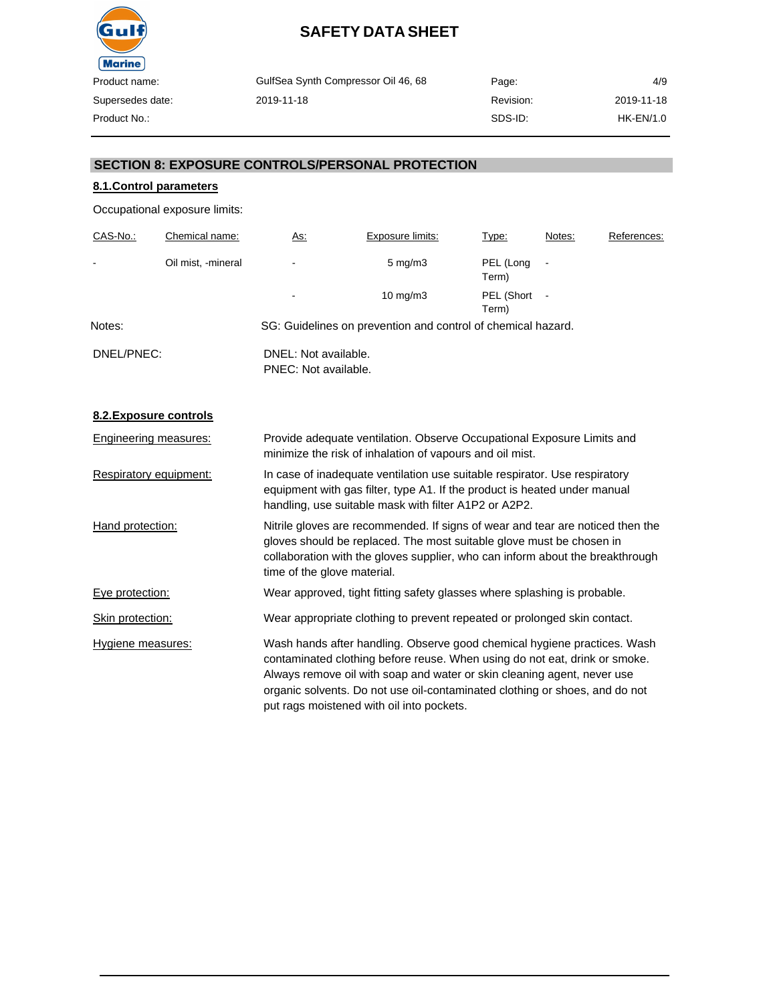

| GulfSea Synth Compressor Oil 46, 68 | Page:     | 4/9              |
|-------------------------------------|-----------|------------------|
| 2019-11-18                          | Revision: | 2019-11-18       |
|                                     | SDS-ID:   | <b>HK-EN/1.0</b> |

### **SECTION 8: EXPOSURE CONTROLS/PERSONAL PROTECTION**

# **8.1.Control parameters**

Occupational exposure limits:

| CAS-No.:       | Chemical name:     | <u>As:</u>                                   | Exposure limits:                                             | Type:               | Notes:                   | References: |
|----------------|--------------------|----------------------------------------------|--------------------------------------------------------------|---------------------|--------------------------|-------------|
| $\blacksquare$ | Oil mist, -mineral |                                              | $5 \text{ mg/m}$                                             | PEL (Long<br>Term)  |                          |             |
|                |                    |                                              | $10 \text{ mg/m}$                                            | PEL (Short<br>Term) | $\overline{\phantom{a}}$ |             |
| Notes:         |                    |                                              | SG: Guidelines on prevention and control of chemical hazard. |                     |                          |             |
| DNEL/PNEC:     |                    | DNEL: Not available.<br>PNEC: Not available. |                                                              |                     |                          |             |

# **8.2.Exposure controls**

| <b>Engineering measures:</b> | Provide adequate ventilation. Observe Occupational Exposure Limits and<br>minimize the risk of inhalation of vapours and oil mist.                                                                                                                                                                                                                            |
|------------------------------|---------------------------------------------------------------------------------------------------------------------------------------------------------------------------------------------------------------------------------------------------------------------------------------------------------------------------------------------------------------|
| Respiratory equipment:       | In case of inadequate ventilation use suitable respirator. Use respiratory<br>equipment with gas filter, type A1. If the product is heated under manual<br>handling, use suitable mask with filter A1P2 or A2P2.                                                                                                                                              |
| Hand protection:             | Nitrile gloves are recommended. If signs of wear and tear are noticed then the<br>gloves should be replaced. The most suitable glove must be chosen in<br>collaboration with the gloves supplier, who can inform about the breakthrough<br>time of the glove material.                                                                                        |
| Eye protection:              | Wear approved, tight fitting safety glasses where splashing is probable.                                                                                                                                                                                                                                                                                      |
| Skin protection:             | Wear appropriate clothing to prevent repeated or prolonged skin contact.                                                                                                                                                                                                                                                                                      |
| Hygiene measures:            | Wash hands after handling. Observe good chemical hygiene practices. Wash<br>contaminated clothing before reuse. When using do not eat, drink or smoke.<br>Always remove oil with soap and water or skin cleaning agent, never use<br>organic solvents. Do not use oil-contaminated clothing or shoes, and do not<br>put rags moistened with oil into pockets. |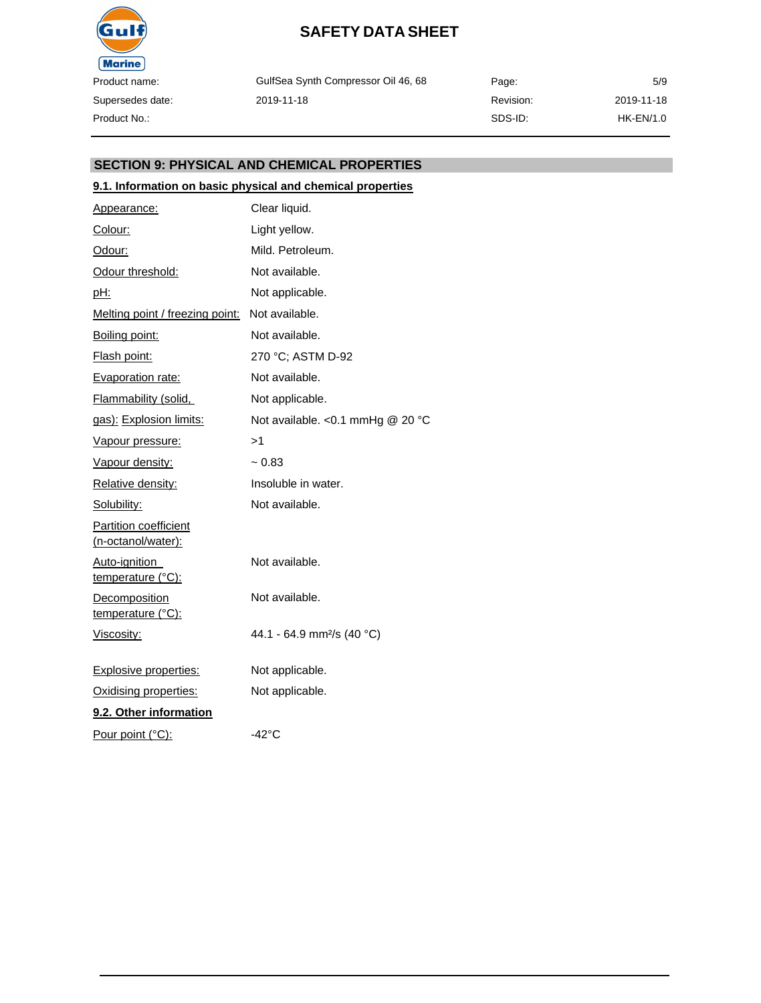

GulfSea Synth Compressor Oil 46, 68 2019-11-18

Page: Revision: SDS-ID: 5/9 2019-11-18 HK-EN/1.0

### **SECTION 9: PHYSICAL AND CHEMICAL PROPERTIES**

### **9.1. Information on basic physical and chemical properties**

| Appearance:                                        | Clear liquid.                          |
|----------------------------------------------------|----------------------------------------|
| Colour:                                            | Light yellow.                          |
| Odour:                                             | Mild. Petroleum.                       |
| Odour threshold:                                   | Not available.                         |
| <u>pH:</u>                                         | Not applicable.                        |
| Melting point / freezing point:                    | Not available.                         |
| Boiling point:                                     | Not available.                         |
| Flash point:                                       | 270 °C; ASTM D-92                      |
| <b>Evaporation rate:</b>                           | Not available.                         |
| <b>Flammability (solid,</b>                        | Not applicable.                        |
| gas): Explosion limits:                            | Not available. < 0.1 mmHg @ 20 °C      |
| <u>Vapour pressure:</u>                            | >1                                     |
| Vapour density:                                    | $~1$ 0.83                              |
| Relative density:                                  | Insoluble in water.                    |
| Solubility:                                        | Not available.                         |
| <b>Partition coefficient</b><br>(n-octanol/water): |                                        |
| Auto-ignition<br><u>temperature</u> (°C):          | Not available.                         |
| <b>Decomposition</b><br>temperature (°C):          | Not available.                         |
| Viscosity:                                         | 44.1 - 64.9 mm <sup>2</sup> /s (40 °C) |
| <b>Explosive properties:</b>                       | Not applicable.                        |
| Oxidising properties:                              | Not applicable.                        |
| 9.2. Other information                             |                                        |
| Pour point (°C):                                   | $-42^{\circ}$ C                        |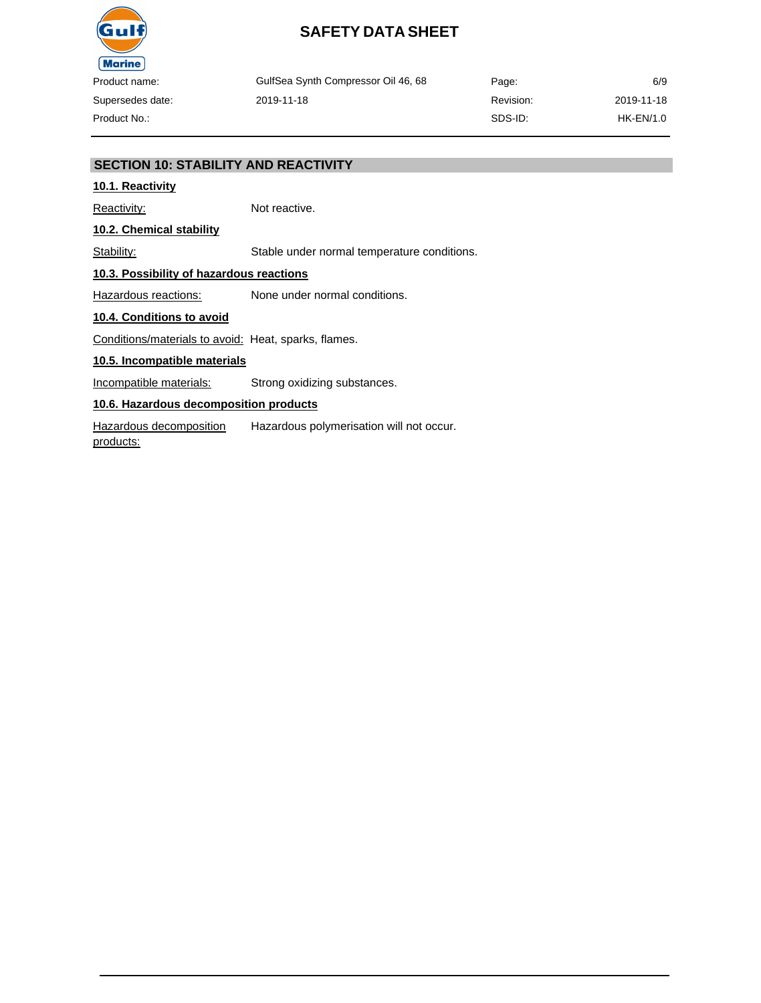

GulfSea Synth Compressor Oil 46, 68 2019-11-18 Page: Revision: SDS-ID: 2019-11-18 HK-EN/1.0

6/9

### **SECTION 10: STABILITY AND REACTIVITY**

### **10.1. Reactivity**

Reactivity: Not reactive.

**10.2. Chemical stability**

Stability: Stable under normal temperature conditions.

### **10.3. Possibility of hazardous reactions**

Hazardous reactions: None under normal conditions.

#### **10.4. Conditions to avoid**

Conditions/materials to avoid: Heat, sparks, flames.

#### **10.5. Incompatible materials**

Incompatible materials: Strong oxidizing substances.

# **10.6. Hazardous decomposition products**

Hazardous decomposition products: Hazardous polymerisation will not occur.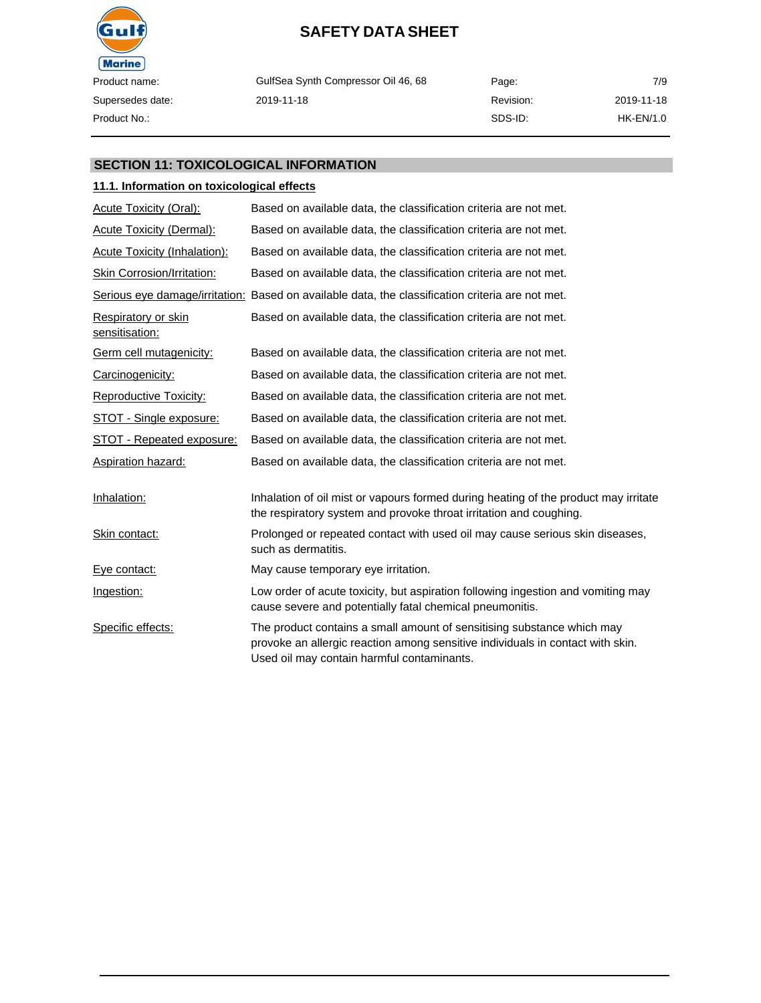

GulfSea Synth Compressor Oil 46, 68 2019-11-18

Page: Revision: SDS-ID: 7/9 2019-11-18 HK-EN/1.0

### **SECTION 11: TOXICOLOGICAL INFORMATION**

### **11.1. Information on toxicological effects**

| <b>Acute Toxicity (Oral):</b>                | Based on available data, the classification criteria are not met.                                                                                                                                      |
|----------------------------------------------|--------------------------------------------------------------------------------------------------------------------------------------------------------------------------------------------------------|
| <b>Acute Toxicity (Dermal):</b>              | Based on available data, the classification criteria are not met.                                                                                                                                      |
| <b>Acute Toxicity (Inhalation):</b>          | Based on available data, the classification criteria are not met.                                                                                                                                      |
| <b>Skin Corrosion/Irritation:</b>            | Based on available data, the classification criteria are not met.                                                                                                                                      |
|                                              | Serious eye damage/irritation: Based on available data, the classification criteria are not met.                                                                                                       |
| <b>Respiratory or skin</b><br>sensitisation: | Based on available data, the classification criteria are not met.                                                                                                                                      |
| Germ cell mutagenicity:                      | Based on available data, the classification criteria are not met.                                                                                                                                      |
| Carcinogenicity:                             | Based on available data, the classification criteria are not met.                                                                                                                                      |
| <b>Reproductive Toxicity:</b>                | Based on available data, the classification criteria are not met.                                                                                                                                      |
| STOT - Single exposure:                      | Based on available data, the classification criteria are not met.                                                                                                                                      |
| STOT - Repeated exposure:                    | Based on available data, the classification criteria are not met.                                                                                                                                      |
| <b>Aspiration hazard:</b>                    | Based on available data, the classification criteria are not met.                                                                                                                                      |
| Inhalation:                                  | Inhalation of oil mist or vapours formed during heating of the product may irritate<br>the respiratory system and provoke throat irritation and coughing.                                              |
| Skin contact:                                | Prolonged or repeated contact with used oil may cause serious skin diseases,<br>such as dermatitis.                                                                                                    |
| Eye contact:                                 | May cause temporary eye irritation.                                                                                                                                                                    |
| Ingestion:                                   | Low order of acute toxicity, but aspiration following ingestion and vomiting may<br>cause severe and potentially fatal chemical pneumonitis.                                                           |
| Specific effects:                            | The product contains a small amount of sensitising substance which may<br>provoke an allergic reaction among sensitive individuals in contact with skin.<br>Used oil may contain harmful contaminants. |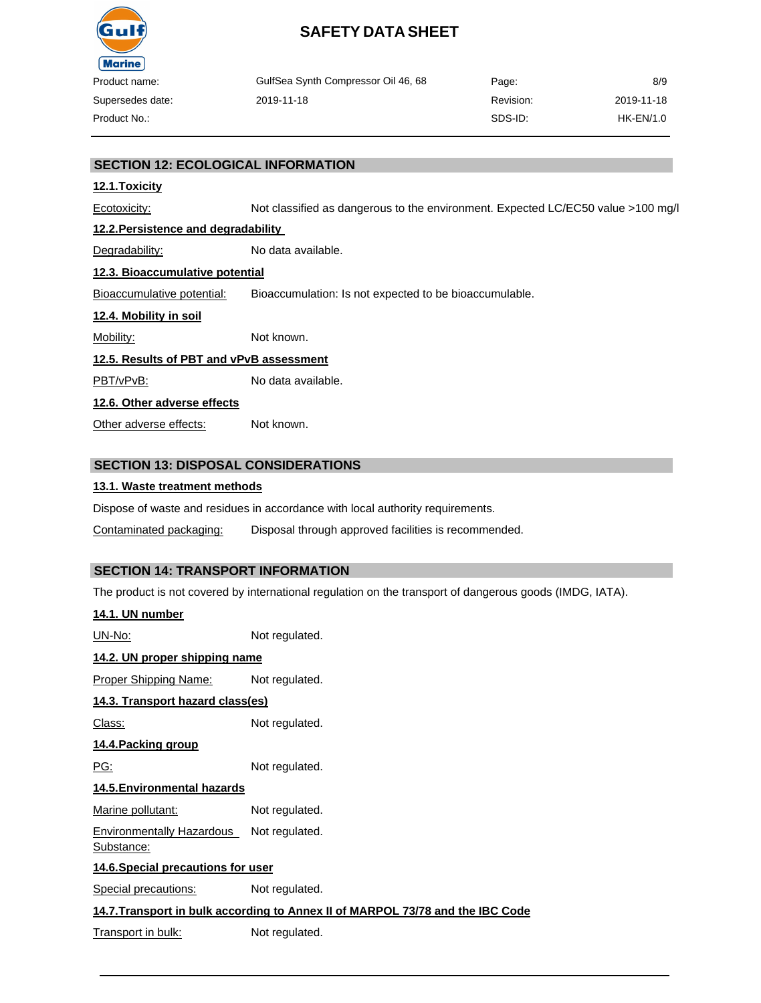

| oduct name:    | GulfSea Synth Compressor Oil 46, 68 | Page:     | 8/9        |
|----------------|-------------------------------------|-----------|------------|
| persedes date: | 2019-11-18                          | Revision: | 2019-11-18 |
| oduct No.:-    |                                     | SDS-ID:   | HK-EN/1.0  |

### **SECTION 12: ECOLOGICAL INFORMATION**

#### **12.1.Toxicity**

Ecotoxicity: Not classified as dangerous to the environment. Expected LC/EC50 value >100 mg/l

#### **12.2.Persistence and degradability**

Degradability: No data available.

# **12.3. Bioaccumulative potential**

Bioaccumulative potential: Bioaccumulation: Is not expected to be bioaccumulable.

#### **12.4. Mobility in soil**

Mobility: Not known.

#### **12.5. Results of PBT and vPvB assessment**

PBT/vPvB: No data available.

#### **12.6. Other adverse effects**

Other adverse effects: Not known.

#### **SECTION 13: DISPOSAL CONSIDERATIONS**

#### **13.1. Waste treatment methods**

Dispose of waste and residues in accordance with local authority requirements.

Contaminated packaging: Disposal through approved facilities is recommended.

#### **SECTION 14: TRANSPORT INFORMATION**

The product is not covered by international regulation on the transport of dangerous goods (IMDG, IATA).

| 14.1. UN number                                                                |                |  |  |
|--------------------------------------------------------------------------------|----------------|--|--|
| UN-No:                                                                         | Not regulated. |  |  |
| 14.2. UN proper shipping name                                                  |                |  |  |
| Proper Shipping Name:                                                          | Not regulated. |  |  |
| 14.3. Transport hazard class(es)                                               |                |  |  |
| Class:                                                                         | Not regulated. |  |  |
| <u>14.4.Packing group</u>                                                      |                |  |  |
| PG:                                                                            | Not regulated. |  |  |
| 14.5. Environmental hazards                                                    |                |  |  |
| Marine pollutant:                                                              | Not regulated. |  |  |
| Environmentally Hazardous Not regulated.<br><u>Substance:</u>                  |                |  |  |
| 14.6. Special precautions for user                                             |                |  |  |
| <b>Special precautions:</b>                                                    | Not regulated. |  |  |
| 14.7. Transport in bulk according to Annex II of MARPOL 73/78 and the IBC Code |                |  |  |
| Transport in bulk:                                                             | Not regulated. |  |  |
|                                                                                |                |  |  |